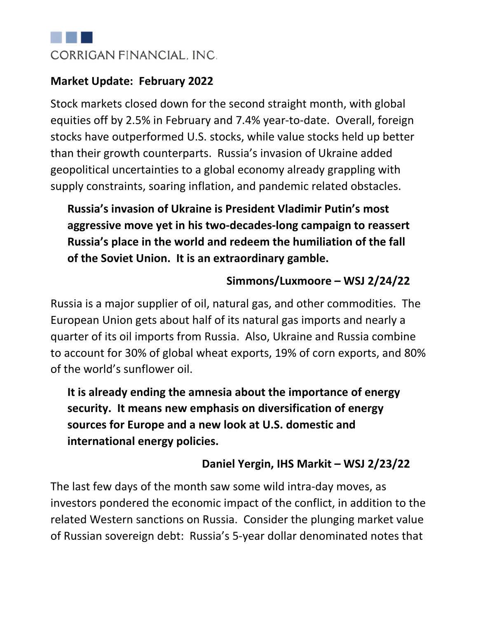

#### **Market Update: February 2022**

Stock markets closed down for the second straight month, with global equities off by 2.5% in February and 7.4% year-to-date. Overall, foreign stocks have outperformed U.S. stocks, while value stocks held up better than their growth counterparts. Russia's invasion of Ukraine added geopolitical uncertainties to a global economy already grappling with supply constraints, soaring inflation, and pandemic related obstacles.

**Russia's invasion of Ukraine is President Vladimir Putin's most aggressive move yet in his two-decades-long campaign to reassert Russia's place in the world and redeem the humiliation of the fall of the Soviet Union. It is an extraordinary gamble.**

#### **Simmons/Luxmoore – WSJ 2/24/22**

Russia is a major supplier of oil, natural gas, and other commodities. The European Union gets about half of its natural gas imports and nearly a quarter of its oil imports from Russia. Also, Ukraine and Russia combine to account for 30% of global wheat exports, 19% of corn exports, and 80% of the world's sunflower oil.

**It is already ending the amnesia about the importance of energy security. It means new emphasis on diversification of energy sources for Europe and a new look at U.S. domestic and international energy policies.**

#### **Daniel Yergin, IHS Markit – WSJ 2/23/22**

The last few days of the month saw some wild intra-day moves, as investors pondered the economic impact of the conflict, in addition to the related Western sanctions on Russia. Consider the plunging market value of Russian sovereign debt: Russia's 5-year dollar denominated notes that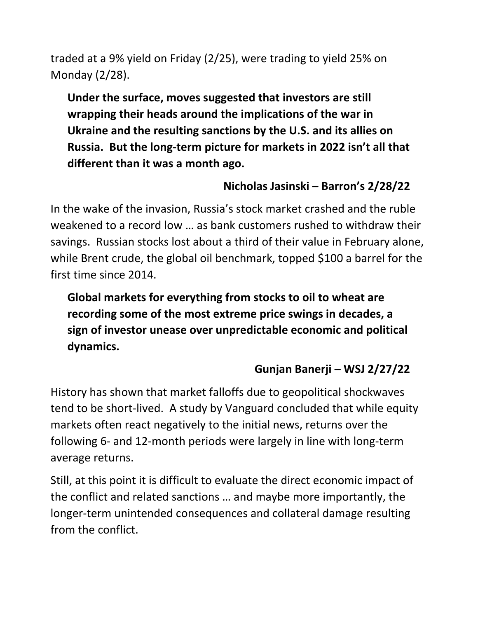traded at a 9% yield on Friday (2/25), were trading to yield 25% on Monday (2/28).

**Under the surface, moves suggested that investors are still wrapping their heads around the implications of the war in Ukraine and the resulting sanctions by the U.S. and its allies on Russia. But the long-term picture for markets in 2022 isn't all that different than it was a month ago.**

# **Nicholas Jasinski – Barron's 2/28/22**

In the wake of the invasion, Russia's stock market crashed and the ruble weakened to a record low … as bank customers rushed to withdraw their savings. Russian stocks lost about a third of their value in February alone, while Brent crude, the global oil benchmark, topped \$100 a barrel for the first time since 2014.

**Global markets for everything from stocks to oil to wheat are recording some of the most extreme price swings in decades, a sign of investor unease over unpredictable economic and political dynamics.**

# **Gunjan Banerji – WSJ 2/27/22**

History has shown that market falloffs due to geopolitical shockwaves tend to be short-lived. A study by Vanguard concluded that while equity markets often react negatively to the initial news, returns over the following 6- and 12-month periods were largely in line with long-term average returns.

Still, at this point it is difficult to evaluate the direct economic impact of the conflict and related sanctions … and maybe more importantly, the longer-term unintended consequences and collateral damage resulting from the conflict.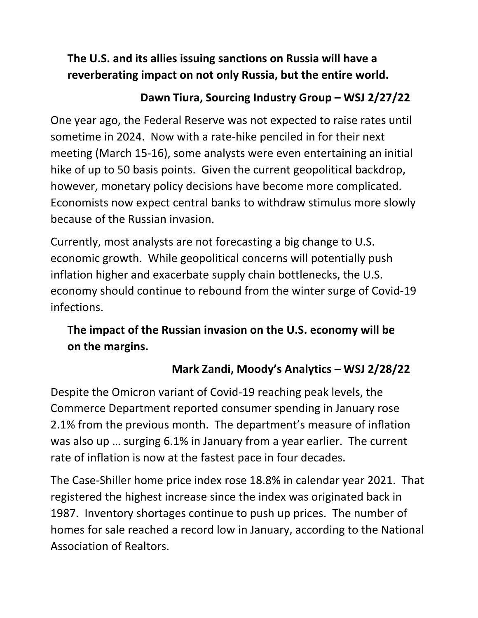# **The U.S. and its allies issuing sanctions on Russia will have a reverberating impact on not only Russia, but the entire world.**

### **Dawn Tiura, Sourcing Industry Group – WSJ 2/27/22**

One year ago, the Federal Reserve was not expected to raise rates until sometime in 2024. Now with a rate-hike penciled in for their next meeting (March 15-16), some analysts were even entertaining an initial hike of up to 50 basis points. Given the current geopolitical backdrop, however, monetary policy decisions have become more complicated. Economists now expect central banks to withdraw stimulus more slowly because of the Russian invasion.

Currently, most analysts are not forecasting a big change to U.S. economic growth. While geopolitical concerns will potentially push inflation higher and exacerbate supply chain bottlenecks, the U.S. economy should continue to rebound from the winter surge of Covid-19 infections.

# **The impact of the Russian invasion on the U.S. economy will be on the margins.**

# **Mark Zandi, Moody's Analytics – WSJ 2/28/22**

Despite the Omicron variant of Covid-19 reaching peak levels, the Commerce Department reported consumer spending in January rose 2.1% from the previous month. The department's measure of inflation was also up … surging 6.1% in January from a year earlier. The current rate of inflation is now at the fastest pace in four decades.

The Case-Shiller home price index rose 18.8% in calendar year 2021. That registered the highest increase since the index was originated back in 1987. Inventory shortages continue to push up prices. The number of homes for sale reached a record low in January, according to the National Association of Realtors.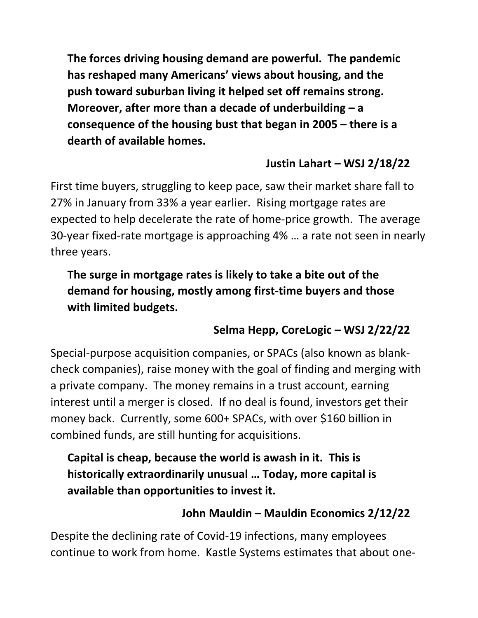**The forces driving housing demand are powerful. The pandemic has reshaped many Americans' views about housing, and the push toward suburban living it helped set off remains strong. Moreover, after more than a decade of underbuilding – a consequence of the housing bust that began in 2005 – there is a dearth of available homes.**

#### **Justin Lahart – WSJ 2/18/22**

First time buyers, struggling to keep pace, saw their market share fall to 27% in January from 33% a year earlier. Rising mortgage rates are expected to help decelerate the rate of home-price growth. The average 30-year fixed-rate mortgage is approaching 4% … a rate not seen in nearly three years.

# **The surge in mortgage rates is likely to take a bite out of the demand for housing, mostly among first-time buyers and those with limited budgets.**

### **Selma Hepp, CoreLogic – WSJ 2/22/22**

Special-purpose acquisition companies, or SPACs (also known as blankcheck companies), raise money with the goal of finding and merging with a private company. The money remains in a trust account, earning interest until a merger is closed. If no deal is found, investors get their money back. Currently, some 600+ SPACs, with over \$160 billion in combined funds, are still hunting for acquisitions.

**Capital is cheap, because the world is awash in it. This is historically extraordinarily unusual … Today, more capital is available than opportunities to invest it.**

#### **John Mauldin – Mauldin Economics 2/12/22**

Despite the declining rate of Covid-19 infections, many employees continue to work from home. Kastle Systems estimates that about one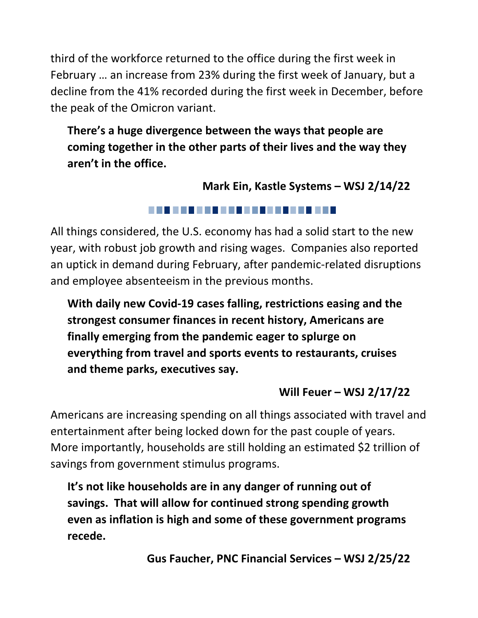third of the workforce returned to the office during the first week in February … an increase from 23% during the first week of January, but a decline from the 41% recorded during the first week in December, before the peak of the Omicron variant.

# **There's a huge divergence between the ways that people are coming together in the other parts of their lives and the way they aren't in the office.**

**Mark Ein, Kastle Systems – WSJ 2/14/22**

#### . . . . . . . . . . . . . . . . . . . .

All things considered, the U.S. economy has had a solid start to the new year, with robust job growth and rising wages. Companies also reported an uptick in demand during February, after pandemic-related disruptions and employee absenteeism in the previous months.

**With daily new Covid-19 cases falling, restrictions easing and the strongest consumer finances in recent history, Americans are finally emerging from the pandemic eager to splurge on everything from travel and sports events to restaurants, cruises and theme parks, executives say.**

### **Will Feuer – WSJ 2/17/22**

Americans are increasing spending on all things associated with travel and entertainment after being locked down for the past couple of years. More importantly, households are still holding an estimated \$2 trillion of savings from government stimulus programs.

**It's not like households are in any danger of running out of savings. That will allow for continued strong spending growth even as inflation is high and some of these government programs recede.**

**Gus Faucher, PNC Financial Services – WSJ 2/25/22**